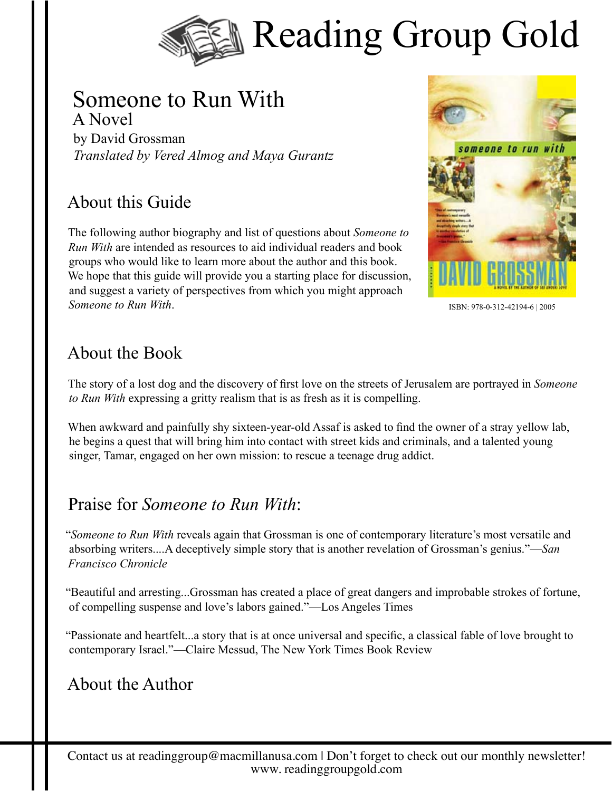

#### Someone to Run With A Novel

by David Grossman *Translated by Vered Almog and Maya Gurantz*

# About this Guide

The following author biography and list of questions about *Someone to Run With* are intended as resources to aid individual readers and book groups who would like to learn more about the author and this book. We hope that this guide will provide you a starting place for discussion, and suggest a variety of perspectives from which you might approach *Someone to Run With*.



ISBN: 978-0-312-42194-6 | 2005

#### About the Book

The story of a lost dog and the discovery of first love on the streets of Jerusalem are portrayed in *Someone to Run With* expressing a gritty realism that is as fresh as it is compelling.

When awkward and painfully shy sixteen-year-old Assaf is asked to find the owner of a stray yellow lab, he begins a quest that will bring him into contact with street kids and criminals, and a talented young singer, Tamar, engaged on her own mission: to rescue a teenage drug addict.

### Praise for *Someone to Run With*:

"*Someone to Run With* reveals again that Grossman is one of contemporary literature's most versatile and absorbing writers....A deceptively simple story that is another revelation of Grossman's genius."—*San Francisco Chronicle* 

"Beautiful and arresting...Grossman has created a place of great dangers and improbable strokes of fortune, of compelling suspense and love's labors gained."—Los Angeles Times

"Passionate and heartfelt...a story that is at once universal and specific, a classical fable of love brought to contemporary Israel."—Claire Messud, The New York Times Book Review

### About the Author

Contact us at readinggroup@macmillanusa.com | Don't forget to check out our monthly newsletter! www. readinggroupgold.com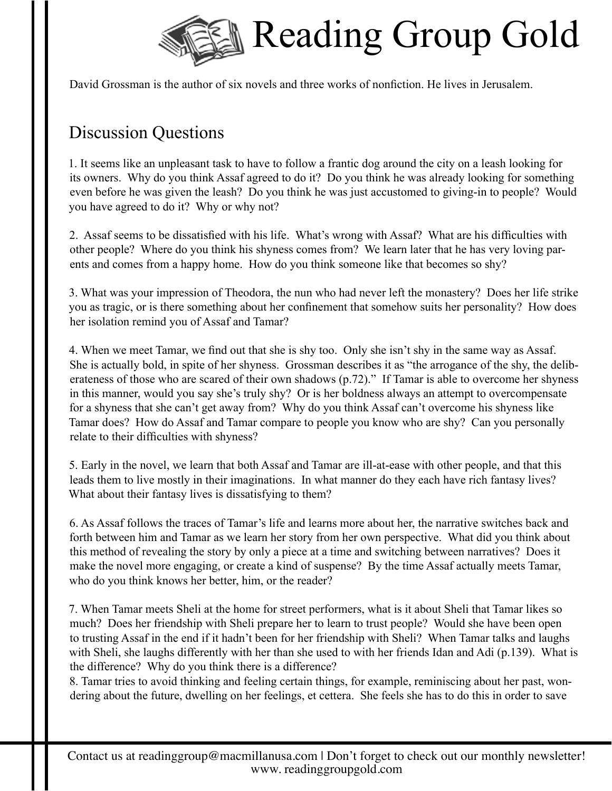

David Grossman is the author of six novels and three works of nonfiction. He lives in Jerusalem.

# Discussion Questions

1. It seems like an unpleasant task to have to follow a frantic dog around the city on a leash looking for its owners. Why do you think Assaf agreed to do it? Do you think he was already looking for something even before he was given the leash? Do you think he was just accustomed to giving-in to people? Would you have agreed to do it? Why or why not?

2. Assaf seems to be dissatisfied with his life. What's wrong with Assaf? What are his difficulties with other people? Where do you think his shyness comes from? We learn later that he has very loving parents and comes from a happy home. How do you think someone like that becomes so shy?

3. What was your impression of Theodora, the nun who had never left the monastery? Does her life strike you as tragic, or is there something about her confinement that somehow suits her personality? How does her isolation remind you of Assaf and Tamar?

4. When we meet Tamar, we find out that she is shy too. Only she isn't shy in the same way as Assaf. She is actually bold, in spite of her shyness. Grossman describes it as "the arrogance of the shy, the deliberateness of those who are scared of their own shadows (p.72)." If Tamar is able to overcome her shyness in this manner, would you say she's truly shy? Or is her boldness always an attempt to overcompensate for a shyness that she can't get away from? Why do you think Assaf can't overcome his shyness like Tamar does? How do Assaf and Tamar compare to people you know who are shy? Can you personally relate to their difficulties with shyness?

5. Early in the novel, we learn that both Assaf and Tamar are ill-at-ease with other people, and that this leads them to live mostly in their imaginations. In what manner do they each have rich fantasy lives? What about their fantasy lives is dissatisfying to them?

6. As Assaf follows the traces of Tamar's life and learns more about her, the narrative switches back and forth between him and Tamar as we learn her story from her own perspective. What did you think about this method of revealing the story by only a piece at a time and switching between narratives? Does it make the novel more engaging, or create a kind of suspense? By the time Assaf actually meets Tamar, who do you think knows her better, him, or the reader?

7. When Tamar meets Sheli at the home for street performers, what is it about Sheli that Tamar likes so much? Does her friendship with Sheli prepare her to learn to trust people? Would she have been open to trusting Assaf in the end if it hadn't been for her friendship with Sheli? When Tamar talks and laughs with Sheli, she laughs differently with her than she used to with her friends Idan and Adi (p.139). What is the difference? Why do you think there is a difference?

8. Tamar tries to avoid thinking and feeling certain things, for example, reminiscing about her past, wondering about the future, dwelling on her feelings, et cettera. She feels she has to do this in order to save

Contact us at readinggroup@macmillanusa.com | Don't forget to check out our monthly newsletter! www. readinggroupgold.com